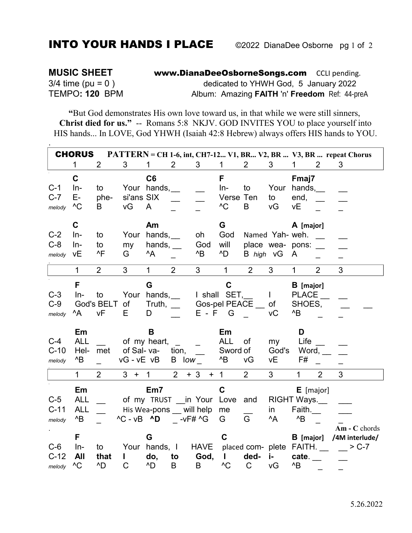## **INTO YOUR HANDS I PLACE**

 $\frac{1}{2}$ 

**MUSIC SHEET** www.DianaDeeOsborneSongs.com CCLI pending.  $3/4$  time (pu = 0) dedicated to YHWH God, 5 January 2022 TEMPO: 120 BPM Album: Amazing FAITH 'n' Freedom Ref: 44-preA

"But God demonstrates His own love toward us, in that while we were still sinners, Christ died for us." -- Romans 5:8 NKJV. GOD INVITES YOU to place yourself into HIS hands... In LOVE, God YHWH (Isaiah 42:8 Hebrew) always offers HIS hands to YOU.

| <b>CHORUS</b><br>PATTERN = CH 1-6, int, CH7-12 V1, BR V2, BR  V3, BR  repeat Chorus |                                                                  |                               |                                                                                                     |                                                             |                       |                     |                                                                                                    |                |                                               |                                                                                        |                |                                                                              |
|-------------------------------------------------------------------------------------|------------------------------------------------------------------|-------------------------------|-----------------------------------------------------------------------------------------------------|-------------------------------------------------------------|-----------------------|---------------------|----------------------------------------------------------------------------------------------------|----------------|-----------------------------------------------|----------------------------------------------------------------------------------------|----------------|------------------------------------------------------------------------------|
|                                                                                     | $\mathbf{1}$                                                     | $\overline{2}$                | 3                                                                                                   | $\mathbf 1$                                                 | 2                     | 3 <sup>1</sup>      | $\mathbf{1}$                                                                                       | $\overline{2}$ | 3                                             | 1                                                                                      | $\overline{2}$ | 3                                                                            |
| $C-1$<br>$C-7$<br>melody                                                            | $\mathbf C$<br>In-<br>E-<br>^C                                   | to<br>phe-<br>B               | si'ans SIX<br>vG                                                                                    | C6<br>Your hands,<br>A                                      |                       |                     | F<br>$In-$<br>Verse Ten<br>$^{\wedge}C$                                                            | to<br>B        | to<br>νG                                      | Fmaj7<br>Your hands,<br>end,<br>νE                                                     |                |                                                                              |
| $C-2$<br>$C-8$<br>melody                                                            | C<br>$In-$<br>In-<br>νE                                          | to<br>to<br>^F                | Your<br>my<br>G                                                                                     | Am<br>hands,<br>hands, $\_\_$<br>^A                         |                       | oh<br>God<br>^B     | G<br>God<br>will<br>^D                                                                             |                | Named Yah- weh.<br>B high vG                  | A [major]<br>place wea- pons:<br>A                                                     |                |                                                                              |
|                                                                                     | $\mathbf{1}$                                                     | 2 <sup>1</sup>                | $\mathbf{3}$                                                                                        | $\mathbf{1}$                                                | $\overline{2}$        | $\overline{3}$      | $\mathbf{1}$                                                                                       | $\overline{2}$ | $\mathbf{3}$                                  | $\mathbf{1}$                                                                           | $\overline{2}$ | 3                                                                            |
| $C-3$<br>$C-9$<br>melody<br>$C-4$<br>$C-10$<br>melody                               | F<br>$In-$<br>^A<br>Em<br><b>ALL</b><br>Hel-<br>$^{\wedge}B$     | to<br>God's BELT<br>vF<br>met | of<br>Е<br>of Sal-va-<br>$vG - vE$ $vB$                                                             | G<br>Your hands,<br>Truth, $\_\_$<br>D<br>B<br>of my heart, | tion,<br>$B$ low $\_$ | $E - F$             | $\mathbf c$<br>I shall SET,<br>Gos-pel PEACE<br>G<br>Em<br><b>ALL</b><br>Sword of<br>$^{\prime}$ B | of<br>vG       | $\mathbf{L}$<br>of<br>vC<br>my<br>God's<br>νE | <b>B</b> [major]<br><b>PLACE</b><br>SHOES,<br>$^{\wedge}B$<br>D<br>Life<br>Word,<br>F# |                |                                                                              |
|                                                                                     | $\mathbf{1}$                                                     | $\overline{2}$                | $3 +$                                                                                               | $\mathbf{1}$                                                | 2                     | $+3$                | $+$ 1                                                                                              | $\overline{2}$ | 3                                             | $\mathbf{1}$                                                                           | $\overline{2}$ | 3                                                                            |
| $C-5$<br>$C-11$<br>melody<br>$C-6$<br>$C-12$                                        | Em<br><b>ALL</b><br><b>ALL</b><br>^B<br>F<br>$In-$<br><b>All</b> | to<br>that                    | of my TRUST in Your Love and<br>$^{\wedge}$ C - vB $^{\wedge}$ D -vF# $^{\wedge}$ G<br>$\mathbf{I}$ | Em7<br>His Wea-pons will help<br>G<br>Your hands, I<br>do,  | to                    | <b>HAVE</b><br>God, | C<br>me<br>G<br>$\mathbf C$<br>I.                                                                  | G<br>ded-      | in<br>^A<br>j-,                               | E [major]<br>RIGHT Ways.<br>Faith. $\_$<br>$^{\prime}$ B<br>$B$ [major]<br>cate.       |                | $Am - C$ chords<br>/4M interlude/<br>placed com- plete $FAITH.$ $\_\_$ > C-7 |